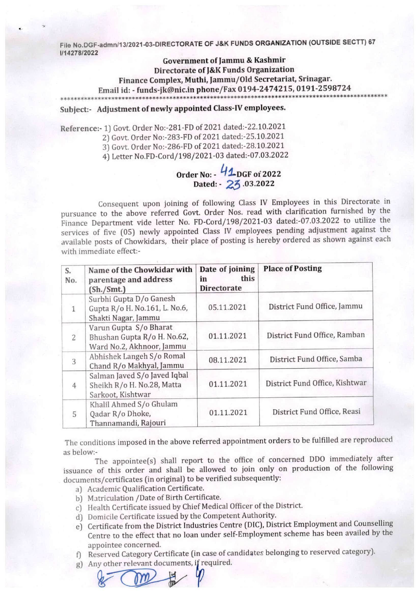File No.DGF-admn/13/2021-03-DIRECTORATE OF J&K FUNDS ORGANIZATION {OUTSIDE SECTT) 67 1/14278/2022

Government of Jammu & Kashmir Directorate of J&K Funds Organization Finance Complex, Muthi, Jammu/Old Secretariat, Srinagar. Email id: - funds-jk@nic.in phone/Fax 0194-2474215,0191-2598724

Subject;- Adjustment of newly appointed Class-IV employees.

Reference:-1] Govt. Order No:-281-FD of 2021 dated;-22.10.2021

2) Govt. Order No:-283-FD of 2021 dated:-25.10.2021

3) Govt. Order No:-286-FD of 2021 dated:-28.10.2021

4) Letter No.FD-Cord/198/2021-03 dated:-07.03.2022

Order No:  $\sqrt{2}$ -DGF of 2022 Dated: - 23.03.2022

Consequent upon joining of following Class IV Employees in this Directorate in pursuance to the above referred Govt. Order Nos. read with clarification furnished by the Finance Department vide letter No. FD-Cord/198/2021-03 dated:-07.03.2022 to utilize the services of five (05) newly appointed Class IV employees pending adjustment against the available posts of Chowkidars, their place of posting is hereby ordered as shown against each with immediate effect:-

| S.<br>No.      | Name of the Chowkidar with<br>parentage and address<br>(Sh./Smt.)                  | Date of joining<br>this<br>in<br><b>Directorate</b> | <b>Place of Posting</b>        |
|----------------|------------------------------------------------------------------------------------|-----------------------------------------------------|--------------------------------|
| $\mathbf{1}$   | Surbhi Gupta D/o Ganesh<br>Gupta R/o H. No.161, L. No.6,<br>Shakti Nagar, Jammu    | 05.11.2021                                          | District Fund Office, Jammu    |
| $\overline{2}$ | Varun Gupta S/o Bharat<br>Bhushan Gupta R/o H. No.62,<br>Ward No.2, Akhnoor, Jammu | 01.11.2021                                          | District Fund Office, Ramban   |
| 3              | Abhishek Langeh S/o Romal<br>Chand R/o Makhyal, Jammu                              | 08.11.2021                                          | District Fund Office, Samba    |
| $\overline{4}$ | Salman Javed S/o Javed Iqbal<br>Sheikh R/o H. No.28, Matta<br>Sarkoot, Kishtwar    | 01.11.2021                                          | District Fund Office, Kishtwar |
| 5              | Khalil Ahmed S/o Ghulam<br>Qadar R/o Dhoke,<br>Thannamandi, Rajouri                | 01.11.2021                                          | District Fund Office, Reasi    |

The conditions imposed in the above referred appointment orders to be fulfilled are reproduced as below:-

The appointee(s) shall report to the office of concerned DDO immediately after issuance of this order and shall be allowed to join only on production of the following documents/certificates (in original) to be verified subsequently;

- a) Academic Qualification Certificate.
- b) Matriculation /Date of Birth Certificate.
- c) Health Certificate issued by Chief Medical Officer of the District.
- d) Domicile Certificate issued by the Competent Authority,
- e) Certificate from the District Industries Centre (DIC), District Employment and Counselling Centre to the effect that no loan under self-Employment scheme has been availed by the appointee concerned.
- f) Reserved Category Certificate (in case of candidates belonging to reserved category).
- g) Any other relevant documents, if required.